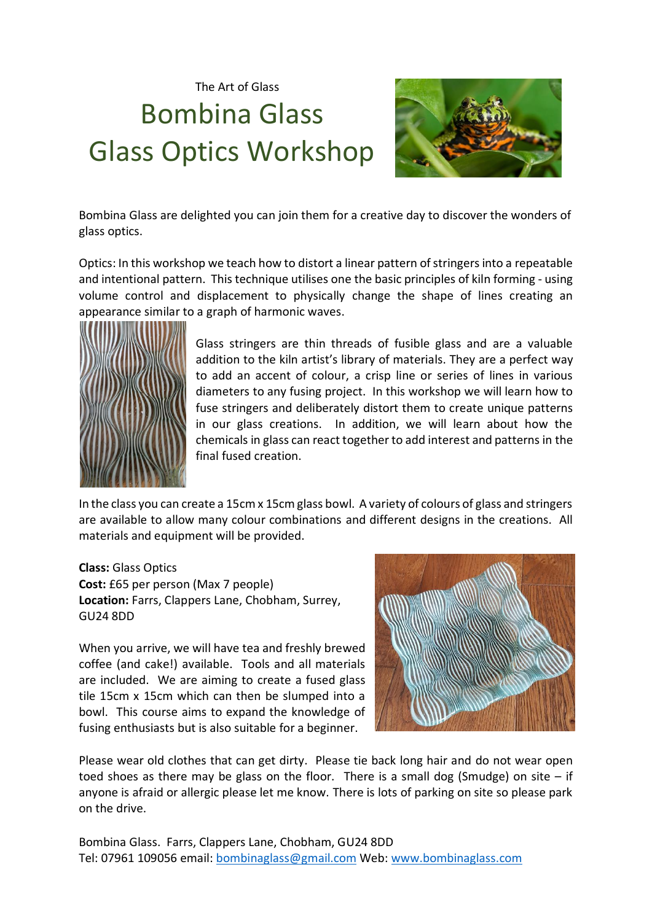The Art of Glass Bombina Glass Glass Optics Workshop



Bombina Glass are delighted you can join them for a creative day to discover the wonders of glass optics.

Optics: In this workshop we teach how to distort a linear pattern of stringers into a repeatable and intentional pattern. This technique utilises one the basic principles of kiln forming - using volume control and displacement to physically change the shape of lines creating an appearance similar to a graph of harmonic waves.



Glass stringers are thin threads of fusible glass and are a valuable addition to the kiln artist's library of materials. They are a perfect way to add an accent of colour, a crisp line or series of lines in various diameters to any fusing project. In this workshop we will learn how to fuse stringers and deliberately distort them to create unique patterns in our glass creations. In addition, we will learn about how the chemicals in glass can react together to add interest and patterns in the final fused creation.

In the class you can create a 15cm x 15cm glass bowl. A variety of colours of glass and stringers are available to allow many colour combinations and different designs in the creations. All materials and equipment will be provided.

**Class:** Glass Optics **Cost:** £65 per person (Max 7 people) **Location:** Farrs, Clappers Lane, Chobham, Surrey, GU24 8DD

When you arrive, we will have tea and freshly brewed coffee (and cake!) available. Tools and all materials are included. We are aiming to create a fused glass tile 15cm x 15cm which can then be slumped into a bowl. This course aims to expand the knowledge of fusing enthusiasts but is also suitable for a beginner.



Please wear old clothes that can get dirty. Please tie back long hair and do not wear open toed shoes as there may be glass on the floor. There is a small dog (Smudge) on site  $-$  if anyone is afraid or allergic please let me know. There is lots of parking on site so please park on the drive.

Bombina Glass. Farrs, Clappers Lane, Chobham, GU24 8DD Tel: 07961 109056 email: [bombinaglass@gmail.com](mailto:bombinaglass@gmail.com) Web: [www.bombinaglass.com](http://www.bombinaglass.com/)